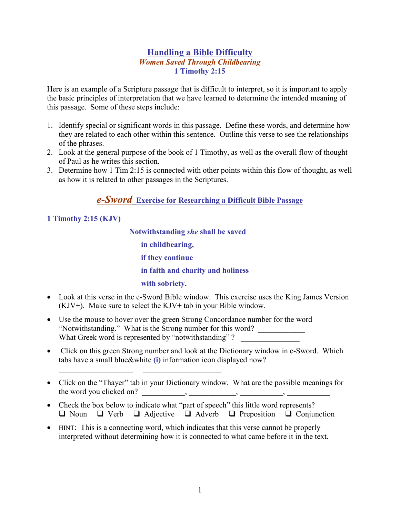### **Handling a Bible Difficulty Women Saved Through Childbearing** 1 Timothy  $2:15$

Here is an example of a Scripture passage that is difficult to interpret, so it is important to apply the basic principles of interpretation that we have learned to determine the intended meaning of this passage. Some of these steps include:

- 1. Identify special or significant words in this passage. Define these words, and determine how they are related to each other within this sentence. Outline this verse to see the relationships of the phrases.
- 2. Look at the general purpose of the book of 1 Timothy, as well as the overall flow of thought of Paul as he writes this section.
- 3. Determine how 1 Tim 2:15 is connected with other points within this flow of thought, as well as how it is related to other passages in the Scriptures.

# e-Sword Exercise for Researching a Difficult Bible Passage

## 1 Timothy  $2:15$  (KJV)

Notwithstanding she shall be saved in childbearing, if they continue in faith and charity and holiness with sobriety.

- Look at this verse in the e-Sword Bible window. This exercise uses the King James Version  $(KJV^+)$ . Make sure to select the  $KJV^+$  tab in your Bible window.
- Use the mouse to hover over the green Strong Concordance number for the word "Notwithstanding." What is the Strong number for this word? What Greek word is represented by "notwithstanding"?
- Click on this green Strong number and look at the Dictionary window in e-Sword. Which tabs have a small blue&white (i) information icon displayed now?
- Click on the "Thayer" tab in your Dictionary window. What are the possible meanings for the word you clicked on?  $\qquad \qquad , \qquad \qquad$
- Check the box below to indicate what "part of speech" this little word represents?  $\Box$  Noun  $\Box$  Verb  $\Box$  Adjective  $\Box$  Adverb  $\Box$  Preposition  $\Box$  Conjunction
- HINT: This is a connecting word, which indicates that this verse cannot be properly interpreted without determining how it is connected to what came before it in the text.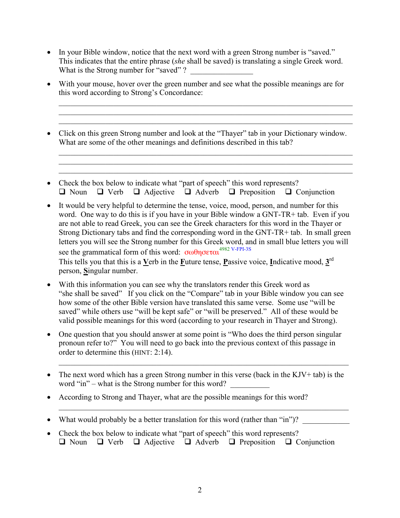- In your Bible window, notice that the next word with a green Strong number is "saved." This indicates that the entire phrase (she shall be saved) is translating a single Greek word. What is the Strong number for "saved"?
- With your mouse, hover over the green number and see what the possible meanings are for this word according to Strong's Concordance:

888888888888888888888888888888888888888888888888888888888888888888888888888 888888888888888888888888888888888888888888888888888888888888888888888888888 888888888888888888888888888888888888888888888888888888888888888888888888888

888888888888888888888888888888888888888888888888888888888888888888888888888 888888888888888888888888888888888888888888888888888888888888888888888888888 888888888888888888888888888888888888888888888888888888888888888888888888888

- Click on this green Strong number and look at the "Thayer" tab in your Dictionary window. What are some of the other meanings and definitions described in this tab?
- Check the box below to indicate what "part of speech" this word represents?  $\Box$  Noun  $\Box$  Verb  $\Box$  Adjective  $\Box$  Adverb  $\Box$  Preposition  $\Box$  Conjunction
- It would be very helpful to determine the tense, voice, mood, person, and number for this word. One way to do this is if you have in your Bible window a GNT-TR+ tab. Even if you are not able to read Greek, you can see the Greek characters for this word in the Thayer or Strong Dictionary tabs and find the corresponding word in the GNT-TR+ tab. In small green letters you will see the Strong number for this Greek word, and in small blue letters you will see the grammatical form of this word: σωθησεται<sup>4982 V-FPI-3S</sup> This tells you that this is a Verb in the Future tense, Passive voice, Indicative mood,  $3^{rd}$ person, Singular number.
- With this information you can see why the translators render this Greek word as "she shall be saved" If you click on the "Compare" tab in your Bible window you can see how some of the other Bible version have translated this same verse. Some use "will be saved" while others use "will be kept safe" or "will be preserved." All of these would be valid possible meanings for this word (according to your research in Thayer and Strong).
- One question that you should answer at some point is "Who does the third person singular" pronoun refer to?" You will need to go back into the previous context of this passage in order to determine this  $(HINT: 2:14)$ .
- The next word which has a green Strong number in this verse (back in the KJV+ tab) is the word "in" – what is the Strong number for this word?

88888888888888888888888888888888888888888888888888888888888888888888888888

88888888888888888888888888888888888888888888888888888888888888888888888888

- According to Strong and Thayer, what are the possible meanings for this word?
- What would probably be a better translation for this word (rather than "in")?
- Check the box below to indicate what "part of speech" this word represents?  $\Box$  Noun  $\Box$  Verb  $\Box$  Adjective  $\Box$  Adverb  $\Box$  Preposition  $\Box$  Conjunction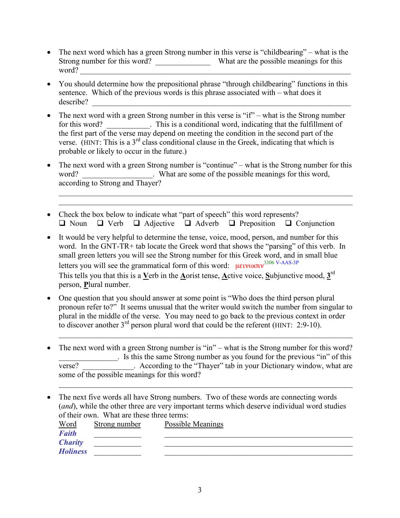- The next word which has a green Strong number in this verse is "childbearing" what is the Strong number for this word? What are the possible meanings for this word?
- You should determine how the prepositional phrase "through childbearing" functions in this sentence. Which of the previous words is this phrase associated with – what does it describe?
- The next word with a green Strong number in this verse is " $if$ " what is the Strong number  $\bullet$ . This is a conditional word, indicating that the fulfillment of for this word? the first part of the verse may depend on meeting the condition in the second part of the verse. (HINT: This is a  $3^{rd}$  class conditional clause in the Greek, indicating that which is probable or likely to occur in the future.)
- The next word with a green Strong number is "continue" what is the Strong number for this  $\bullet$ What are some of the possible meanings for this word, word? according to Strong and Thayer?
- Check the box below to indicate what "part of speech" this word represents?  $\Box$  Noun  $\Box$  Verb  $\Box$  Adjective  $\Box$  Adverb  $\Box$  Preposition  $\Box$  Conjunction
- It would be very helpful to determine the tense, voice, mood, person, and number for this word. In the GNT-TR+ tab locate the Greek word that shows the "parsing" of this verb. In small green letters you will see the Strong number for this Greek word, and in small blue letters you will see the grammatical form of this word:  $\mu\epsilon v \omega \sigma v^{3306 \text{ V-AdS-3P}}$ This tells you that this is a Verb in the Aorist tense, Active voice, Subjunctive mood,  $3<sup>rd</sup>$ person, Plural number.
- One question that you should answer at some point is "Who does the third person plural" pronoun refer to?" It seems unusual that the writer would switch the number from singular to position in the middle of the verse. You may need to go back to the previous context in order to discover another  $3^{rd}$  person plural word that could be the referent (HINT: 2:9-10).
- The next word with a green Strong number is "in" what is the Strong number for this word?  $\bullet$ Is this the same Strong number as you found for the previous "in" of this . According to the "Thayer" tab in your Dictionary window, what are verse? some of the possible meanings for this word?
- The next five words all have Strong numbers. Two of these words are connecting words (and), while the other three are very important terms which deserve individual word studies of their own. What are these three terms:

| <u>Word</u>     | Strong number | Possible Meanings |
|-----------------|---------------|-------------------|
| <b>Faith</b>    |               |                   |
| <b>Charity</b>  |               |                   |
| <b>Holiness</b> |               |                   |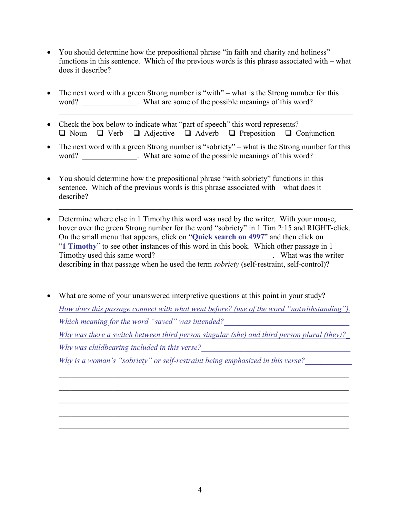- You should determine how the prepositional phrase "in faith and charity and holiness" functions in this sentence. Which of the previous words is this phrase associated with  $-$  what does it describe?
- The next word with a green Strong number is "with" what is the Strong number for this  $\bullet$ word? What are some of the possible meanings of this word?
- Check the box below to indicate what "part of speech" this word represents?  $\Box$  Noun  $\Box$  Verb  $\Box$  Adjective  $\Box$  Adverb  $\Box$  Preposition  $\Box$  Conjunction
- The next word with a green Strong number is "sobriety" what is the Strong number for this word? \_\_\_\_\_\_\_\_\_\_\_\_\_. What are some of the possible meanings of this word?
- You should determine how the prepositional phrase "with sobriety" functions in this sentence. Which of the previous words is this phrase associated with – what does it describe?
- Determine where else in 1 Timothy this word was used by the writer. With your mouse, hover over the green Strong number for the word "sobriety" in 1 Tim 2:15 and RIGHT-click. On the small menu that appears, click on "Quick search on 4997" and then click on "1 Timothy" to see other instances of this word in this book. Which other passage in 1 Timothy used this same word? What was the writer describing in that passage when he used the term *sobriety* (self-restraint, self-control)?
- What are some of your unanswered interpretive questions at this point in your study? How does this passage connect with what went before? (use of the word "notwithstanding"). Which meaning for the word "saved" was intended? Why was there a switch between third person singular (she) and third person plural (thev)? Why was childbearing included in this verse? Why is a woman's "sobriety" or self-restraint being emphasized in this verse?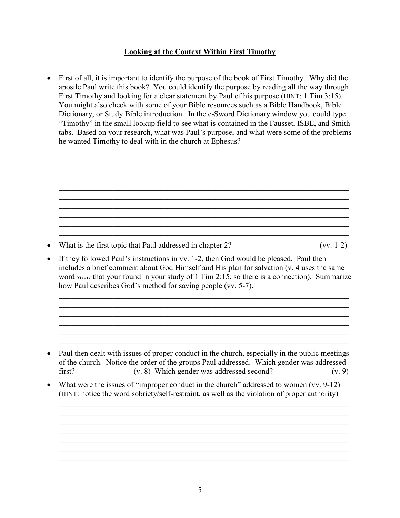### <u>Looking at the Context Within First Timothy</u>

 $\bullet$  First of all, it is important to identify the purpose of the book of First Timothy. Why did the apostle Paul write this book? You could identify the purpose by reading all the way through First Timothy and looking for a clear statement by Paul of his purpose (HINT:  $1$  Tim  $3:15$ ). You might also check with some of your Bible resources such as a Bible Handbook, Bible Dictionary, or Study Bible introduction. In the e-Sword Dictionary window you could type "Timothy" in the small lookup field to see what is contained in the Fausset, ISBE, and Smith tabs. Based on your research, what was Paul's purpose, and what were some of the problems he wanted Timothy to deal with in the church at Ephesus?

88888888888888888888888888888888888888888888888888888888888888888888888888 88888888888888888888888888888888888888888888888888888888888888888888888888 88888888888888888888888888888888888888888888888888888888888888888888888888 88888888888888888888888888888888888888888888888888888888888888888888888888 88888888888888888888888888888888888888888888888888888888888888888888888888 88888888888888888888888888888888888888888888888888888888888888888888888888 88888888888888888888888888888888888888888888888888888888888888888888888888 88888888888888888888888888888888888888888888888888888888888888888888888888 88888888888888888888888888888888888888888888888888888888888888888888888888 88888888888888888888888888888888888888888888888888888888888888888888888888

• What is the first topic that Paul addressed in chapter  $2$ ?  $($ vv. 1-2)

• If they followed Paul's instructions in vy. 1-2, then God would be pleased. Paul then includes a brief comment about God Himself and His plan for salvation (v. 4 uses the same word  $sozo$  that your found in your study of 1 Tim 2:15, so there is a connection). Summarize how Paul describes God's method for saving people (vv. 5-7).

88888888888888888888888888888888888888888888888888888888888888888888888888 88888888888888888888888888888888888888888888888888888888888888888888888888 88888888888888888888888888888888888888888888888888888888888888888888888888 88888888888888888888888888888888888888888888888888888888888888888888888888 88888888888888888888888888888888888888888888888888888888888888888888888888 88888888888888888888888888888888888888888888888888888888888888888888888888

- Paul then dealt with issues of proper conduct in the church, especially in the public meetings of the church. Notice the order of the groups Paul addressed. Which gender was addressed first?  $(v. 8)$  Which gender was addressed second?  $(v. 9)$
- What were the issues of "improper conduct in the church" addressed to women  $(vv. 9-12)$ (HINT: notice the word sobriety/self-restraint, as well as the violation of proper authority)

88888888888888888888888888888888888888888888888888888888888888888888888888 88888888888888888888888888888888888888888888888888888888888888888888888888 88888888888888888888888888888888888888888888888888888888888888888888888888

88888888888888888888888888888888888888888888888888888888888888888888888888

88888888888888888888888888888888888888888888888888888888888888888888888888

88888888888888888888888888888888888888888888888888888888888888888888888888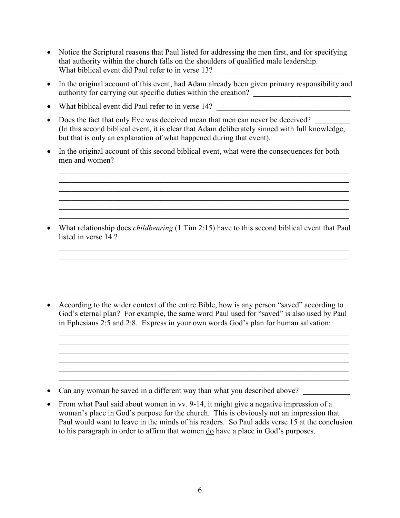- Notice the Scriptural reasons that Paul listed for addressing the men first, and for specifying that authority within the church falls on the shoulders of qualified male leadership. What biblical event did Paul refer to in verse 13?
- In the original account of this event, had Adam already been given primary responsibility and authority for carrying out specific duties within the creation?
- What biblical event did Paul refer to in verse 14?
- Does the fact that only Eve was deceived mean that men can never be deceived? (In this second biblical event, it is clear that Adam deliberately sinned with full knowledge, but that is only an explanation of what happened during that event).
- In the original account of this second biblical event, what were the consequences for both men and women?

88888888888888888888888888888888888888888888888888888888888888888888888888 88888888888888888888888888888888888888888888888888888888888888888888888888 88888888888888888888888888888888888888888888888888888888888888888888888888 88888888888888888888888888888888888888888888888888888888888888888888888888 88888888888888888888888888888888888888888888888888888888888888888888888888 88888888888888888888888888888888888888888888888888888888888888888888888888

• What relationship does *childbearing* (1 Tim 2:15) have to this second biblical event that Paul listed in verse  $14.2$ 

88888888888888888888888888888888888888888888888888888888888888888888888888 88888888888888888888888888888888888888888888888888888888888888888888888888 88888888888888888888888888888888888888888888888888888888888888888888888888 88888888888888888888888888888888888888888888888888888888888888888888888888 88888888888888888888888888888888888888888888888888888888888888888888888888 88888888888888888888888888888888888888888888888888888888888888888888888888

• According to the wider context of the entire Bible, how is any person "saved" according to God's eternal plan? For example, the same word Paul used for "saved" is also used by Paul in Ephesians 2:5 and 2:8. Express in your own words God's plan for human salvation:

88888888888888888888888888888888888888888888888888888888888888888888888888 88888888888888888888888888888888888888888888888888888888888888888888888888 88888888888888888888888888888888888888888888888888888888888888888888888888 88888888888888888888888888888888888888888888888888888888888888888888888888

88888888888888888888888888888888888888888888888888888888888888888888888888

- Can any woman be saved in a different way than what you described above?
- From what Paul said about women in vv. 9-14, it might give a negative impression of a woman's place in God's purpose for the church. This is obviously not an impression that Paul would want to leave in the minds of his readers. So Paul adds verse 15 at the conclusion to his paragraph in order to affirm that women do have a place in God's purposes.